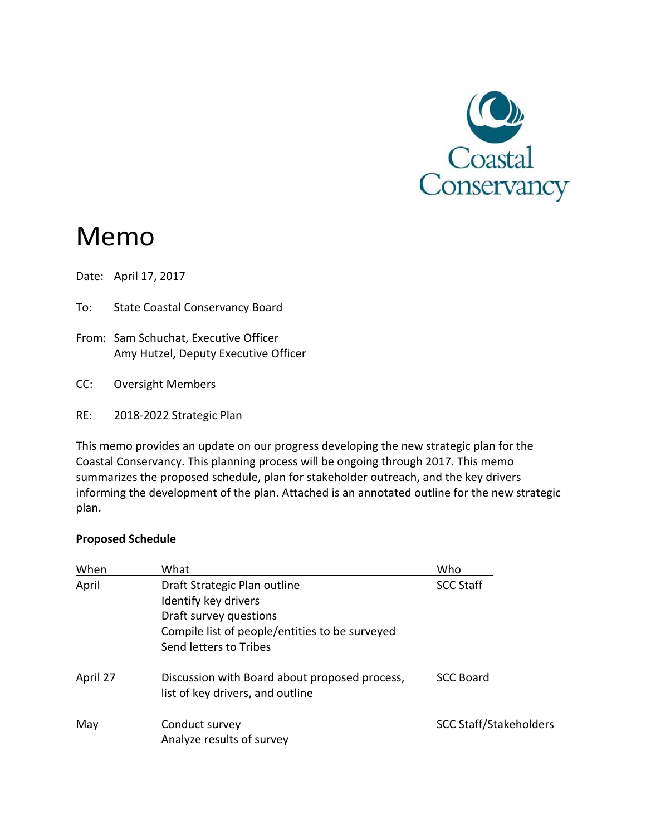

# Memo

Date: April 17, 2017

- To: State Coastal Conservancy Board
- From: Sam Schuchat, Executive Officer Amy Hutzel, Deputy Executive Officer
- CC: Oversight Members
- RE: 2018‐2022 Strategic Plan

This memo provides an update on our progress developing the new strategic plan for the Coastal Conservancy. This planning process will be ongoing through 2017. This memo summarizes the proposed schedule, plan for stakeholder outreach, and the key drivers informing the development of the plan. Attached is an annotated outline for the new strategic plan.

#### **Proposed Schedule**

| When     | What                                           | Who                           |
|----------|------------------------------------------------|-------------------------------|
| April    | Draft Strategic Plan outline                   | <b>SCC Staff</b>              |
|          | Identify key drivers                           |                               |
|          | Draft survey questions                         |                               |
|          | Compile list of people/entities to be surveyed |                               |
|          | Send letters to Tribes                         |                               |
| April 27 | Discussion with Board about proposed process,  | <b>SCC Board</b>              |
|          | list of key drivers, and outline               |                               |
| May      | Conduct survey                                 | <b>SCC Staff/Stakeholders</b> |
|          | Analyze results of survey                      |                               |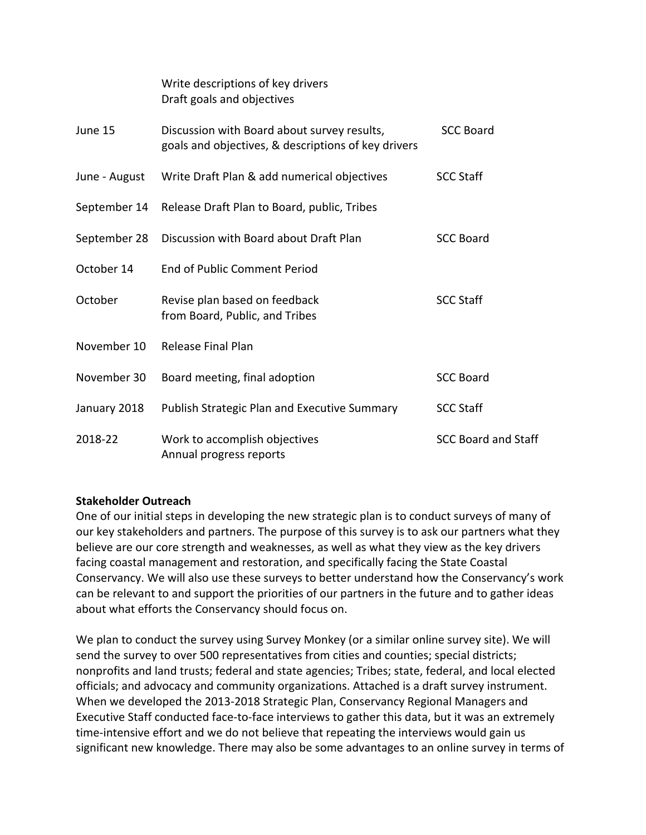|               | Draft goals and objectives                                                                         |                            |
|---------------|----------------------------------------------------------------------------------------------------|----------------------------|
| June 15       | Discussion with Board about survey results,<br>goals and objectives, & descriptions of key drivers | <b>SCC Board</b>           |
| June - August | Write Draft Plan & add numerical objectives                                                        | <b>SCC Staff</b>           |
| September 14  | Release Draft Plan to Board, public, Tribes                                                        |                            |
| September 28  | Discussion with Board about Draft Plan                                                             | <b>SCC Board</b>           |
| October 14    | End of Public Comment Period                                                                       |                            |
| October       | Revise plan based on feedback<br>from Board, Public, and Tribes                                    | <b>SCC Staff</b>           |
| November 10   | <b>Release Final Plan</b>                                                                          |                            |
| November 30   | Board meeting, final adoption                                                                      | <b>SCC Board</b>           |
| January 2018  | Publish Strategic Plan and Executive Summary                                                       | <b>SCC Staff</b>           |
| 2018-22       | Work to accomplish objectives<br>Annual progress reports                                           | <b>SCC Board and Staff</b> |

Write descriptions of key drivers

#### **Stakeholder Outreach**

One of our initial steps in developing the new strategic plan is to conduct surveys of many of our key stakeholders and partners. The purpose of this survey is to ask our partners what they believe are our core strength and weaknesses, as well as what they view as the key drivers facing coastal management and restoration, and specifically facing the State Coastal Conservancy. We will also use these surveys to better understand how the Conservancy's work can be relevant to and support the priorities of our partners in the future and to gather ideas about what efforts the Conservancy should focus on.

We plan to conduct the survey using Survey Monkey (or a similar online survey site). We will send the survey to over 500 representatives from cities and counties; special districts; nonprofits and land trusts; federal and state agencies; Tribes; state, federal, and local elected officials; and advocacy and community organizations. Attached is a draft survey instrument. When we developed the 2013‐2018 Strategic Plan, Conservancy Regional Managers and Executive Staff conducted face‐to‐face interviews to gather this data, but it was an extremely time‐intensive effort and we do not believe that repeating the interviews would gain us significant new knowledge. There may also be some advantages to an online survey in terms of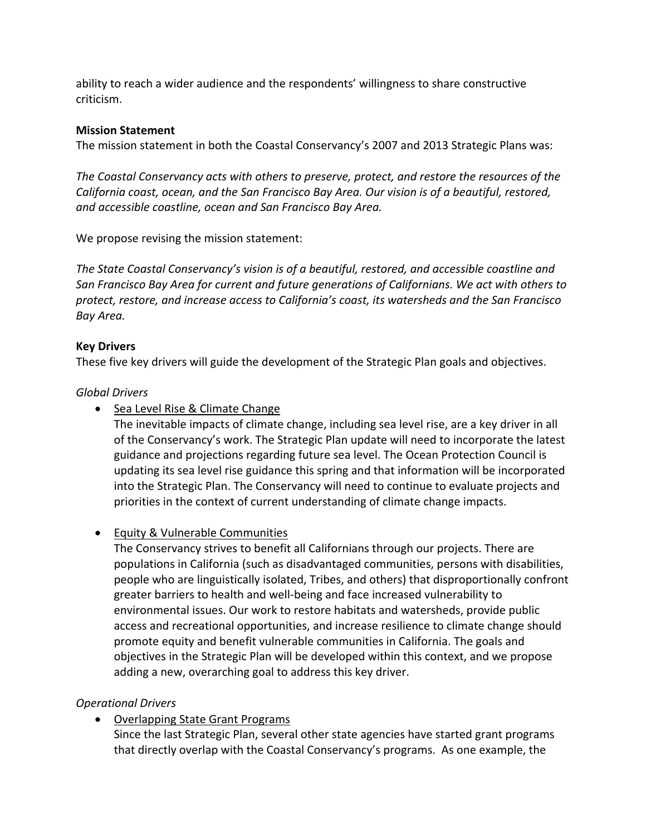ability to reach a wider audience and the respondents' willingness to share constructive criticism.

#### **Mission Statement**

The mission statement in both the Coastal Conservancy's 2007 and 2013 Strategic Plans was:

*The Coastal Conservancy acts with others to preserve, protect, and restore the resources of the California coast, ocean, and the San Francisco Bay Area. Our vision is of a beautiful, restored, and accessible coastline, ocean and San Francisco Bay Area.* 

We propose revising the mission statement:

*The State Coastal Conservancy's vision is of a beautiful, restored, and accessible coastline and San Francisco Bay Area for current and future generations of Californians. We act with others to protect, restore, and increase access to California's coast, its watersheds and the San Francisco Bay Area.*

### **Key Drivers**

These five key drivers will guide the development of the Strategic Plan goals and objectives.

### *Global Drivers*

• Sea Level Rise & Climate Change

The inevitable impacts of climate change, including sea level rise, are a key driver in all of the Conservancy's work. The Strategic Plan update will need to incorporate the latest guidance and projections regarding future sea level. The Ocean Protection Council is updating its sea level rise guidance this spring and that information will be incorporated into the Strategic Plan. The Conservancy will need to continue to evaluate projects and priorities in the context of current understanding of climate change impacts.

### Equity & Vulnerable Communities

The Conservancy strives to benefit all Californians through our projects. There are populations in California (such as disadvantaged communities, persons with disabilities, people who are linguistically isolated, Tribes, and others) that disproportionally confront greater barriers to health and well‐being and face increased vulnerability to environmental issues. Our work to restore habitats and watersheds, provide public access and recreational opportunities, and increase resilience to climate change should promote equity and benefit vulnerable communities in California. The goals and objectives in the Strategic Plan will be developed within this context, and we propose adding a new, overarching goal to address this key driver.

#### *Operational Drivers*

Overlapping State Grant Programs

Since the last Strategic Plan, several other state agencies have started grant programs that directly overlap with the Coastal Conservancy's programs. As one example, the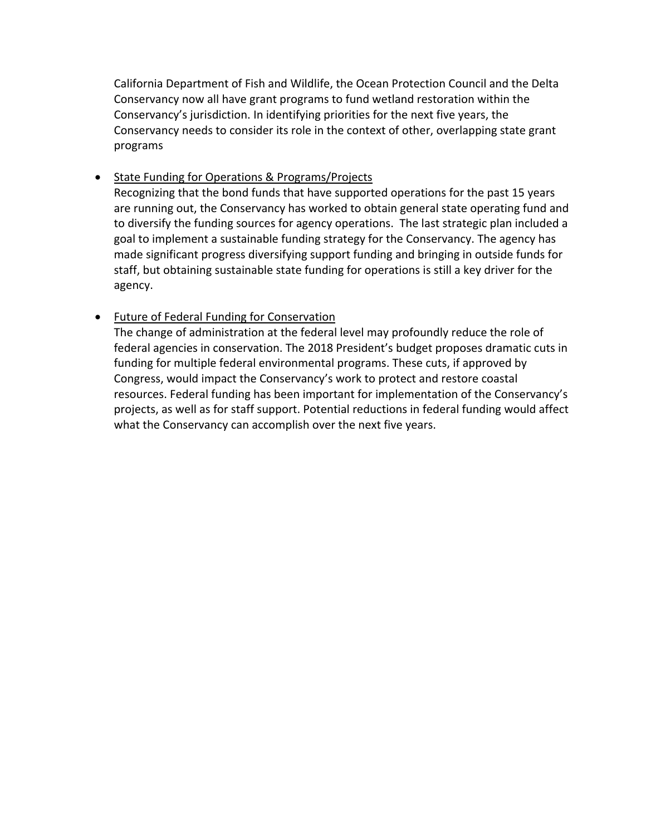California Department of Fish and Wildlife, the Ocean Protection Council and the Delta Conservancy now all have grant programs to fund wetland restoration within the Conservancy's jurisdiction. In identifying priorities for the next five years, the Conservancy needs to consider its role in the context of other, overlapping state grant programs

• State Funding for Operations & Programs/Projects

Recognizing that the bond funds that have supported operations for the past 15 years are running out, the Conservancy has worked to obtain general state operating fund and to diversify the funding sources for agency operations. The last strategic plan included a goal to implement a sustainable funding strategy for the Conservancy. The agency has made significant progress diversifying support funding and bringing in outside funds for staff, but obtaining sustainable state funding for operations is still a key driver for the agency.

#### Future of Federal Funding for Conservation

The change of administration at the federal level may profoundly reduce the role of federal agencies in conservation. The 2018 President's budget proposes dramatic cuts in funding for multiple federal environmental programs. These cuts, if approved by Congress, would impact the Conservancy's work to protect and restore coastal resources. Federal funding has been important for implementation of the Conservancy's projects, as well as for staff support. Potential reductions in federal funding would affect what the Conservancy can accomplish over the next five years.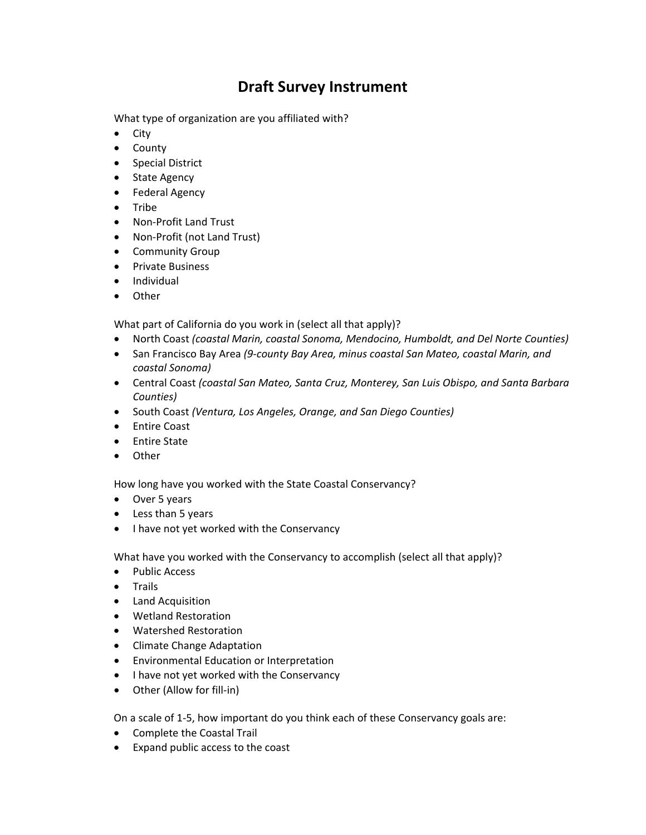# **Draft Survey Instrument**

What type of organization are you affiliated with?

- $\bullet$  City
- County
- Special District
- State Agency
- Federal Agency
- Tribe
- Non-Profit Land Trust
- Non-Profit (not Land Trust)
- Community Group
- Private Business
- **•** Individual
- Other

What part of California do you work in (select all that apply)?

- North Coast *(coastal Marin, coastal Sonoma, Mendocino, Humboldt, and Del Norte Counties)*
- San Francisco Bay Area *(9‐county Bay Area, minus coastal San Mateo, coastal Marin, and coastal Sonoma)*
- Central Coast *(coastal San Mateo, Santa Cruz, Monterey, San Luis Obispo, and Santa Barbara Counties)*
- South Coast *(Ventura, Los Angeles, Orange, and San Diego Counties)*
- Entire Coast
- Entire State
- Other

How long have you worked with the State Coastal Conservancy?

- Over 5 years
- Less than 5 years
- I have not yet worked with the Conservancy

What have you worked with the Conservancy to accomplish (select all that apply)?

- Public Access
- Trails
- Land Acquisition
- Wetland Restoration
- Watershed Restoration
- Climate Change Adaptation
- Environmental Education or Interpretation
- I have not yet worked with the Conservancy
- Other (Allow for fill-in)

On a scale of 1‐5, how important do you think each of these Conservancy goals are:

- Complete the Coastal Trail
- Expand public access to the coast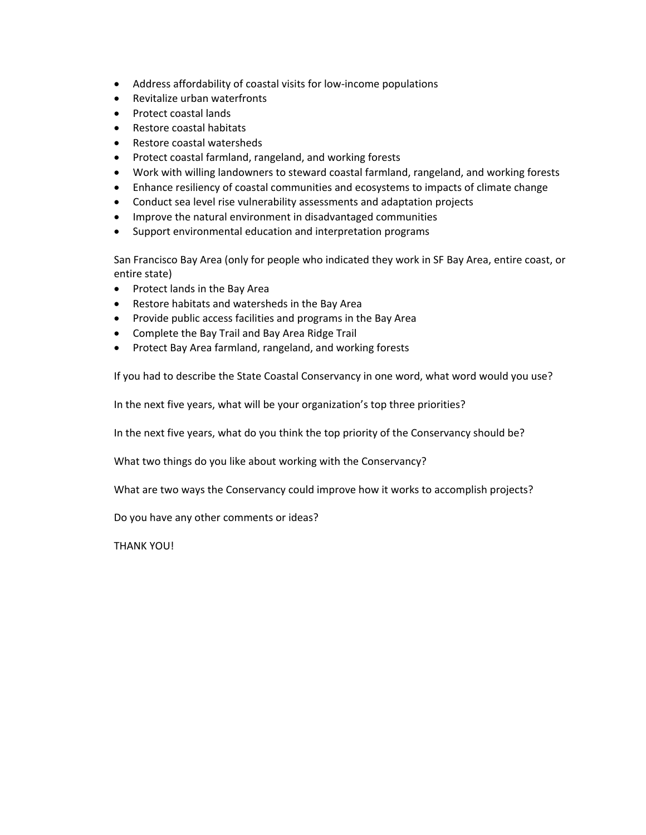- Address affordability of coastal visits for low-income populations
- Revitalize urban waterfronts
- Protect coastal lands
- Restore coastal habitats
- Restore coastal watersheds
- Protect coastal farmland, rangeland, and working forests
- Work with willing landowners to steward coastal farmland, rangeland, and working forests
- Enhance resiliency of coastal communities and ecosystems to impacts of climate change
- Conduct sea level rise vulnerability assessments and adaptation projects
- Improve the natural environment in disadvantaged communities
- Support environmental education and interpretation programs

San Francisco Bay Area (only for people who indicated they work in SF Bay Area, entire coast, or entire state)

- Protect lands in the Bay Area
- Restore habitats and watersheds in the Bay Area
- Provide public access facilities and programs in the Bay Area
- Complete the Bay Trail and Bay Area Ridge Trail
- Protect Bay Area farmland, rangeland, and working forests

If you had to describe the State Coastal Conservancy in one word, what word would you use?

In the next five years, what will be your organization's top three priorities?

In the next five years, what do you think the top priority of the Conservancy should be?

What two things do you like about working with the Conservancy?

What are two ways the Conservancy could improve how it works to accomplish projects?

Do you have any other comments or ideas?

THANK YOU!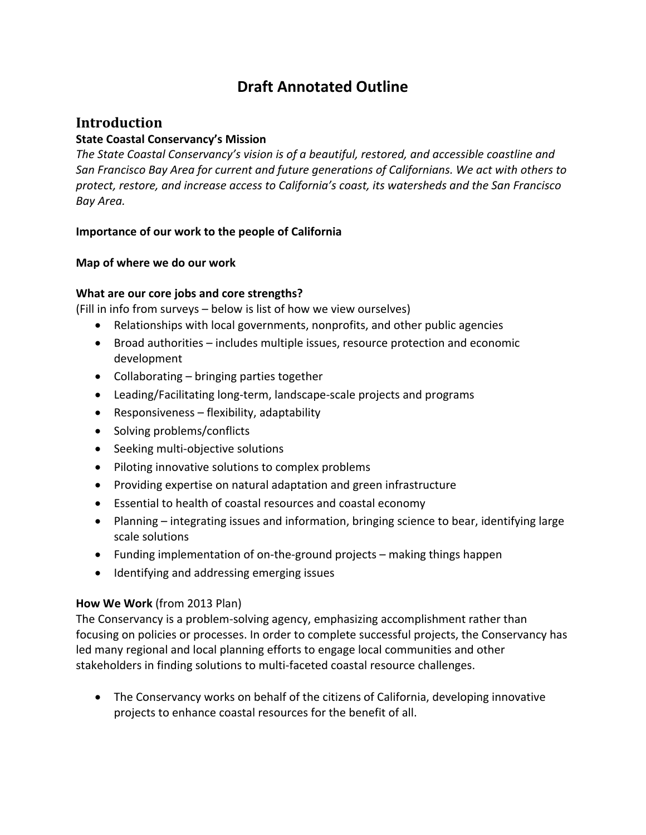# **Draft Annotated Outline**

### **Introduction**

#### **State Coastal Conservancy's Mission**

*The State Coastal Conservancy's vision is of a beautiful, restored, and accessible coastline and San Francisco Bay Area for current and future generations of Californians. We act with others to protect, restore, and increase access to California's coast, its watersheds and the San Francisco Bay Area.*

#### **Importance of our work to the people of California**

#### **Map of where we do our work**

#### **What are our core jobs and core strengths?**

(Fill in info from surveys – below is list of how we view ourselves)

- Relationships with local governments, nonprofits, and other public agencies
- Broad authorities includes multiple issues, resource protection and economic development
- Collaborating bringing parties together
- Leading/Facilitating long‐term, landscape‐scale projects and programs
- $\bullet$  Responsiveness flexibility, adaptability
- Solving problems/conflicts
- Seeking multi-objective solutions
- Piloting innovative solutions to complex problems
- Providing expertise on natural adaptation and green infrastructure
- Essential to health of coastal resources and coastal economy
- Planning integrating issues and information, bringing science to bear, identifying large scale solutions
- Funding implementation of on‐the‐ground projects making things happen
- Identifying and addressing emerging issues

#### **How We Work** (from 2013 Plan)

The Conservancy is a problem‐solving agency, emphasizing accomplishment rather than focusing on policies or processes. In order to complete successful projects, the Conservancy has led many regional and local planning efforts to engage local communities and other stakeholders in finding solutions to multi‐faceted coastal resource challenges.

 The Conservancy works on behalf of the citizens of California, developing innovative projects to enhance coastal resources for the benefit of all.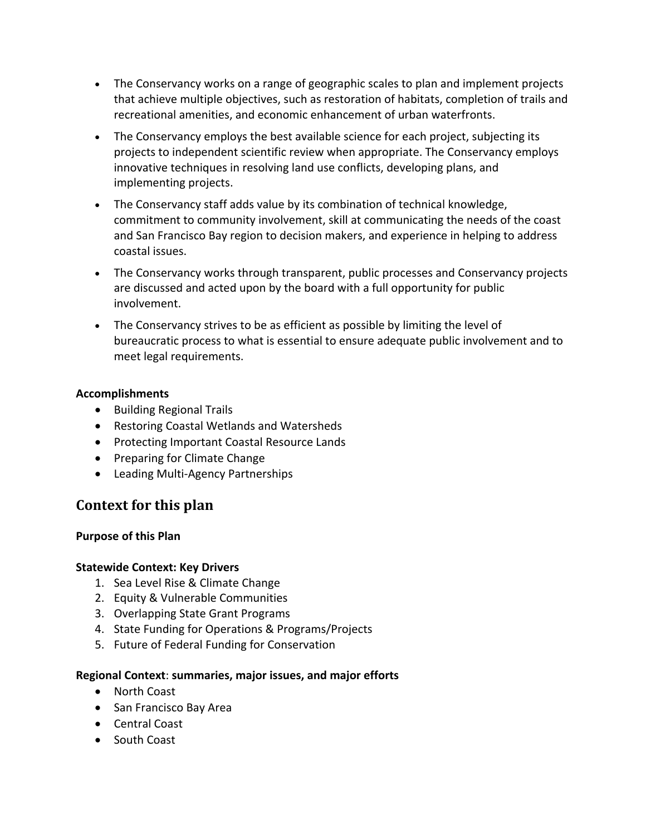- The Conservancy works on a range of geographic scales to plan and implement projects that achieve multiple objectives, such as restoration of habitats, completion of trails and recreational amenities, and economic enhancement of urban waterfronts.
- The Conservancy employs the best available science for each project, subjecting its projects to independent scientific review when appropriate. The Conservancy employs innovative techniques in resolving land use conflicts, developing plans, and implementing projects.
- The Conservancy staff adds value by its combination of technical knowledge, commitment to community involvement, skill at communicating the needs of the coast and San Francisco Bay region to decision makers, and experience in helping to address coastal issues.
- The Conservancy works through transparent, public processes and Conservancy projects are discussed and acted upon by the board with a full opportunity for public involvement.
- The Conservancy strives to be as efficient as possible by limiting the level of bureaucratic process to what is essential to ensure adequate public involvement and to meet legal requirements.

#### **Accomplishments**

- Building Regional Trails
- Restoring Coastal Wetlands and Watersheds
- Protecting Important Coastal Resource Lands
- Preparing for Climate Change
- Leading Multi-Agency Partnerships

## **Context for this plan**

#### **Purpose of this Plan**

#### **Statewide Context: Key Drivers**

- 1. Sea Level Rise & Climate Change
- 2. Equity & Vulnerable Communities
- 3. Overlapping State Grant Programs
- 4. State Funding for Operations & Programs/Projects
- 5. Future of Federal Funding for Conservation

#### **Regional Context**: **summaries, major issues, and major efforts**

- North Coast
- San Francisco Bay Area
- Central Coast
- South Coast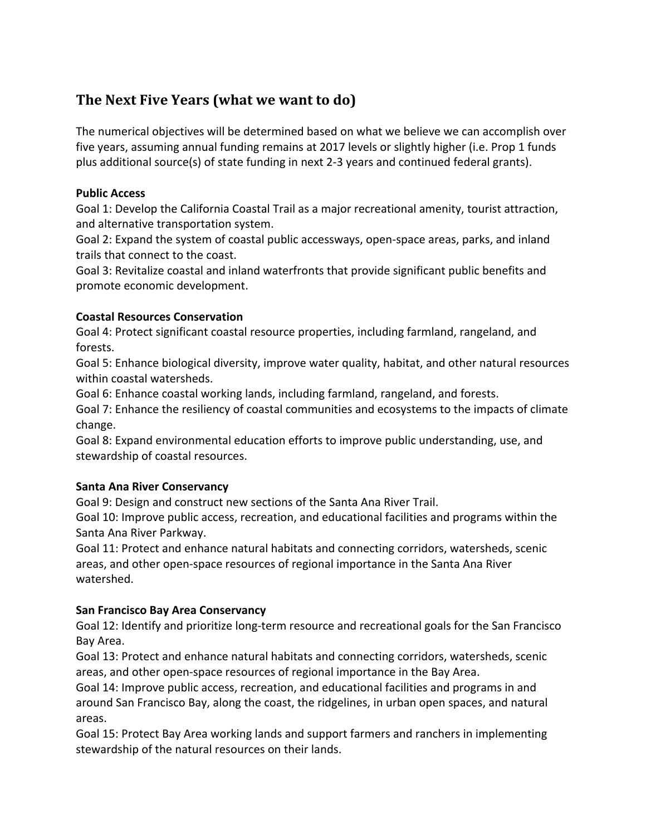# **The** Next Five Years (what we want to do)

The numerical objectives will be determined based on what we believe we can accomplish over five years, assuming annual funding remains at 2017 levels or slightly higher (i.e. Prop 1 funds plus additional source(s) of state funding in next 2‐3 years and continued federal grants).

#### **Public Access**

Goal 1: Develop the California Coastal Trail as a major recreational amenity, tourist attraction, and alternative transportation system.

Goal 2: Expand the system of coastal public accessways, open‐space areas, parks, and inland trails that connect to the coast.

Goal 3: Revitalize coastal and inland waterfronts that provide significant public benefits and promote economic development.

#### **Coastal Resources Conservation**

Goal 4: Protect significant coastal resource properties, including farmland, rangeland, and forests.

Goal 5: Enhance biological diversity, improve water quality, habitat, and other natural resources within coastal watersheds.

Goal 6: Enhance coastal working lands, including farmland, rangeland, and forests.

Goal 7: Enhance the resiliency of coastal communities and ecosystems to the impacts of climate change.

Goal 8: Expand environmental education efforts to improve public understanding, use, and stewardship of coastal resources.

#### **Santa Ana River Conservancy**

Goal 9: Design and construct new sections of the Santa Ana River Trail.

Goal 10: Improve public access, recreation, and educational facilities and programs within the Santa Ana River Parkway.

Goal 11: Protect and enhance natural habitats and connecting corridors, watersheds, scenic areas, and other open‐space resources of regional importance in the Santa Ana River watershed.

#### **San Francisco Bay Area Conservancy**

Goal 12: Identify and prioritize long‐term resource and recreational goals for the San Francisco Bay Area.

Goal 13: Protect and enhance natural habitats and connecting corridors, watersheds, scenic areas, and other open‐space resources of regional importance in the Bay Area.

Goal 14: Improve public access, recreation, and educational facilities and programs in and around San Francisco Bay, along the coast, the ridgelines, in urban open spaces, and natural areas.

Goal 15: Protect Bay Area working lands and support farmers and ranchers in implementing stewardship of the natural resources on their lands.